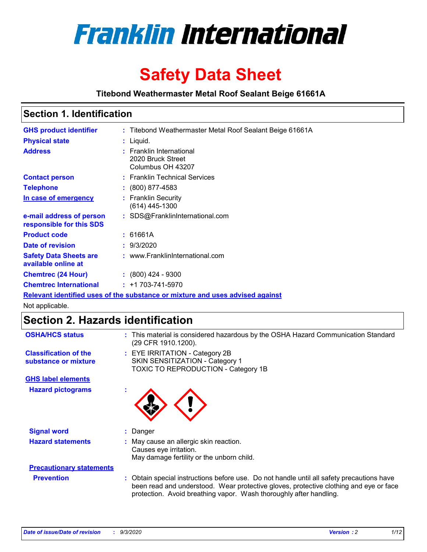

# **Safety Data Sheet**

**Titebond Weathermaster Metal Roof Sealant Beige 61661A**

### **Section 1. Identification**

| <b>GHS product identifier</b>                                                 |  | : Titebond Weathermaster Metal Roof Sealant Beige 61661A           |  |  |
|-------------------------------------------------------------------------------|--|--------------------------------------------------------------------|--|--|
| <b>Physical state</b>                                                         |  | : Liquid.                                                          |  |  |
| <b>Address</b>                                                                |  | : Franklin International<br>2020 Bruck Street<br>Columbus OH 43207 |  |  |
| <b>Contact person</b>                                                         |  | : Franklin Technical Services                                      |  |  |
| <b>Telephone</b>                                                              |  | $\div$ (800) 877-4583                                              |  |  |
| In case of emergency                                                          |  | : Franklin Security<br>$(614)$ 445-1300                            |  |  |
| e-mail address of person<br>responsible for this SDS                          |  | : SDS@FranklinInternational.com                                    |  |  |
| <b>Product code</b>                                                           |  | : 61661A                                                           |  |  |
| Date of revision                                                              |  | : 9/3/2020                                                         |  |  |
| <b>Safety Data Sheets are</b><br>available online at                          |  | : www.FranklinInternational.com                                    |  |  |
| <b>Chemtrec (24 Hour)</b>                                                     |  | $\div$ (800) 424 - 9300                                            |  |  |
| <b>Chemtrec International</b>                                                 |  | $: +1703 - 741 - 5970$                                             |  |  |
| Relevant identified uses of the substance or mixture and uses advised against |  |                                                                    |  |  |

Not applicable.

# **Section 2. Hazards identification**

| <b>OSHA/HCS status</b>                               | : This material is considered hazardous by the OSHA Hazard Communication Standard<br>(29 CFR 1910.1200).                                                                                                                                                 |  |  |
|------------------------------------------------------|----------------------------------------------------------------------------------------------------------------------------------------------------------------------------------------------------------------------------------------------------------|--|--|
| <b>Classification of the</b><br>substance or mixture | : EYE IRRITATION - Category 2B<br>SKIN SENSITIZATION - Category 1<br>TOXIC TO REPRODUCTION - Category 1B                                                                                                                                                 |  |  |
| <b>GHS label elements</b>                            |                                                                                                                                                                                                                                                          |  |  |
| <b>Hazard pictograms</b>                             |                                                                                                                                                                                                                                                          |  |  |
| <b>Signal word</b>                                   | : Danger                                                                                                                                                                                                                                                 |  |  |
| <b>Hazard statements</b>                             | : May cause an allergic skin reaction.<br>Causes eye irritation.<br>May damage fertility or the unborn child.                                                                                                                                            |  |  |
| <b>Precautionary statements</b>                      |                                                                                                                                                                                                                                                          |  |  |
| <b>Prevention</b>                                    | : Obtain special instructions before use. Do not handle until all safety precautions have<br>been read and understood. Wear protective gloves, protective clothing and eye or face<br>protection. Avoid breathing vapor. Wash thoroughly after handling. |  |  |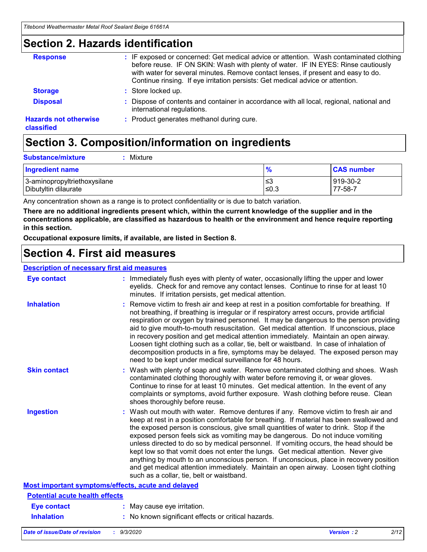### **Section 2. Hazards identification**

| <b>Response</b>                            | : IF exposed or concerned: Get medical advice or attention. Wash contaminated clothing<br>before reuse. IF ON SKIN: Wash with plenty of water. IF IN EYES: Rinse cautiously<br>with water for several minutes. Remove contact lenses, if present and easy to do.<br>Continue rinsing. If eye irritation persists: Get medical advice or attention. |
|--------------------------------------------|----------------------------------------------------------------------------------------------------------------------------------------------------------------------------------------------------------------------------------------------------------------------------------------------------------------------------------------------------|
| <b>Storage</b>                             | : Store locked up.                                                                                                                                                                                                                                                                                                                                 |
| <b>Disposal</b>                            | : Dispose of contents and container in accordance with all local, regional, national and<br>international regulations.                                                                                                                                                                                                                             |
| <b>Hazards not otherwise</b><br>classified | : Product generates methanol during cure.                                                                                                                                                                                                                                                                                                          |

# **Section 3. Composition/information on ingredients**

| <b>Substance/mixture</b> | Mixture |
|--------------------------|---------|
|                          |         |

| <b>Ingredient name</b>       | $\frac{9}{6}$ | <b>CAS number</b> |
|------------------------------|---------------|-------------------|
| 3-aminopropyltriethoxysilane | ≤3            | 919-30-2          |
| Dibutyltin dilaurate         | ∣≤0.3         | $77 - 58 - 1$     |

Any concentration shown as a range is to protect confidentiality or is due to batch variation.

**There are no additional ingredients present which, within the current knowledge of the supplier and in the concentrations applicable, are classified as hazardous to health or the environment and hence require reporting in this section.**

**Occupational exposure limits, if available, are listed in Section 8.**

### **Section 4. First aid measures**

| <b>Description of necessary first aid measures</b> |                                                                                                                                                                                                                                                                                                                                                                                                                                                                                                                                                                                                                                                                                                                                                                           |
|----------------------------------------------------|---------------------------------------------------------------------------------------------------------------------------------------------------------------------------------------------------------------------------------------------------------------------------------------------------------------------------------------------------------------------------------------------------------------------------------------------------------------------------------------------------------------------------------------------------------------------------------------------------------------------------------------------------------------------------------------------------------------------------------------------------------------------------|
| <b>Eye contact</b>                                 | : Immediately flush eyes with plenty of water, occasionally lifting the upper and lower<br>eyelids. Check for and remove any contact lenses. Continue to rinse for at least 10<br>minutes. If irritation persists, get medical attention.                                                                                                                                                                                                                                                                                                                                                                                                                                                                                                                                 |
| <b>Inhalation</b>                                  | : Remove victim to fresh air and keep at rest in a position comfortable for breathing. If<br>not breathing, if breathing is irregular or if respiratory arrest occurs, provide artificial<br>respiration or oxygen by trained personnel. It may be dangerous to the person providing<br>aid to give mouth-to-mouth resuscitation. Get medical attention. If unconscious, place<br>in recovery position and get medical attention immediately. Maintain an open airway.<br>Loosen tight clothing such as a collar, tie, belt or waistband. In case of inhalation of<br>decomposition products in a fire, symptoms may be delayed. The exposed person may<br>need to be kept under medical surveillance for 48 hours.                                                       |
| <b>Skin contact</b>                                | : Wash with plenty of soap and water. Remove contaminated clothing and shoes. Wash<br>contaminated clothing thoroughly with water before removing it, or wear gloves.<br>Continue to rinse for at least 10 minutes. Get medical attention. In the event of any<br>complaints or symptoms, avoid further exposure. Wash clothing before reuse. Clean<br>shoes thoroughly before reuse.                                                                                                                                                                                                                                                                                                                                                                                     |
| <b>Ingestion</b>                                   | : Wash out mouth with water. Remove dentures if any. Remove victim to fresh air and<br>keep at rest in a position comfortable for breathing. If material has been swallowed and<br>the exposed person is conscious, give small quantities of water to drink. Stop if the<br>exposed person feels sick as vomiting may be dangerous. Do not induce vomiting<br>unless directed to do so by medical personnel. If vomiting occurs, the head should be<br>kept low so that vomit does not enter the lungs. Get medical attention. Never give<br>anything by mouth to an unconscious person. If unconscious, place in recovery position<br>and get medical attention immediately. Maintain an open airway. Loosen tight clothing<br>such as a collar, tie, belt or waistband. |
| Most important symptoms/effects, acute and delayed |                                                                                                                                                                                                                                                                                                                                                                                                                                                                                                                                                                                                                                                                                                                                                                           |
| <b>Potential acute health effects</b>              |                                                                                                                                                                                                                                                                                                                                                                                                                                                                                                                                                                                                                                                                                                                                                                           |
| <b>Eye contact</b>                                 | : May cause eye irritation.                                                                                                                                                                                                                                                                                                                                                                                                                                                                                                                                                                                                                                                                                                                                               |
| <b>Inhalation</b>                                  | : No known significant effects or critical hazards.                                                                                                                                                                                                                                                                                                                                                                                                                                                                                                                                                                                                                                                                                                                       |
|                                                    |                                                                                                                                                                                                                                                                                                                                                                                                                                                                                                                                                                                                                                                                                                                                                                           |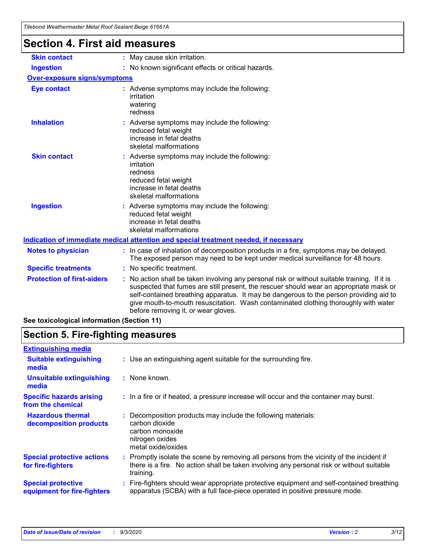| <u>Hiebona Wealhennasier Melar Koor Sealahi Belge 01001A</u> |                                                                                                                                                                                                                                                                                                                                                                                                                 |
|--------------------------------------------------------------|-----------------------------------------------------------------------------------------------------------------------------------------------------------------------------------------------------------------------------------------------------------------------------------------------------------------------------------------------------------------------------------------------------------------|
| <b>Section 4. First aid measures</b>                         |                                                                                                                                                                                                                                                                                                                                                                                                                 |
| <b>Skin contact</b>                                          | : May cause skin irritation.                                                                                                                                                                                                                                                                                                                                                                                    |
| <b>Ingestion</b>                                             | : No known significant effects or critical hazards.                                                                                                                                                                                                                                                                                                                                                             |
| Over-exposure signs/symptoms                                 |                                                                                                                                                                                                                                                                                                                                                                                                                 |
| <b>Eye contact</b>                                           | : Adverse symptoms may include the following:<br>irritation<br>watering<br>redness                                                                                                                                                                                                                                                                                                                              |
| <b>Inhalation</b>                                            | : Adverse symptoms may include the following:<br>reduced fetal weight<br>increase in fetal deaths<br>skeletal malformations                                                                                                                                                                                                                                                                                     |
| <b>Skin contact</b>                                          | : Adverse symptoms may include the following:<br>irritation<br>redness<br>reduced fetal weight<br>increase in fetal deaths<br>skeletal malformations                                                                                                                                                                                                                                                            |
| <b>Ingestion</b>                                             | : Adverse symptoms may include the following:<br>reduced fetal weight<br>increase in fetal deaths<br>skeletal malformations                                                                                                                                                                                                                                                                                     |
|                                                              | Indication of immediate medical attention and special treatment needed, if necessary                                                                                                                                                                                                                                                                                                                            |
| <b>Notes to physician</b>                                    | : In case of inhalation of decomposition products in a fire, symptoms may be delayed.<br>The exposed person may need to be kept under medical surveillance for 48 hours.                                                                                                                                                                                                                                        |
| <b>Specific treatments</b>                                   | : No specific treatment.                                                                                                                                                                                                                                                                                                                                                                                        |
| <b>Protection of first-aiders</b>                            | : No action shall be taken involving any personal risk or without suitable training. If it is<br>suspected that fumes are still present, the rescuer should wear an appropriate mask or<br>self-contained breathing apparatus. It may be dangerous to the person providing aid to<br>give mouth-to-mouth resuscitation. Wash contaminated clothing thoroughly with water<br>before removing it, or wear gloves. |
| See toxicological information (Section 11)                   |                                                                                                                                                                                                                                                                                                                                                                                                                 |

# **Section 5. Fire-fighting measures**

| : Use an extinguishing agent suitable for the surrounding fire.                                                                                                                                   |
|---------------------------------------------------------------------------------------------------------------------------------------------------------------------------------------------------|
| : None known.                                                                                                                                                                                     |
| : In a fire or if heated, a pressure increase will occur and the container may burst.                                                                                                             |
| Decomposition products may include the following materials:<br>carbon dioxide<br>carbon monoxide<br>nitrogen oxides<br>metal oxide/oxides                                                         |
| Promptly isolate the scene by removing all persons from the vicinity of the incident if<br>there is a fire. No action shall be taken involving any personal risk or without suitable<br>training. |
| : Fire-fighters should wear appropriate protective equipment and self-contained breathing<br>apparatus (SCBA) with a full face-piece operated in positive pressure mode.                          |
|                                                                                                                                                                                                   |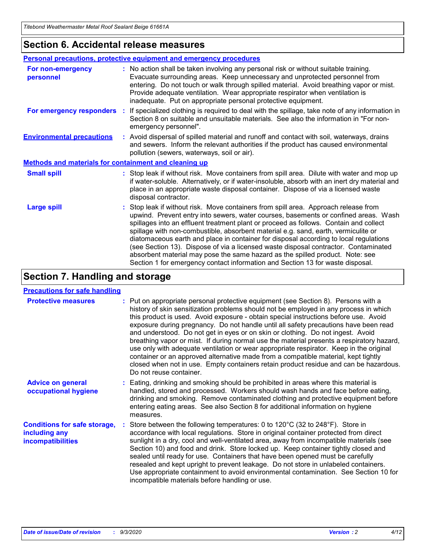### **Section 6. Accidental release measures**

|                                                              | <b>Personal precautions, protective equipment and emergency procedures</b>                                                                                                                                                                                                                                                                                                                                                                                                                                                                                                                                                                                                                                   |  |  |  |
|--------------------------------------------------------------|--------------------------------------------------------------------------------------------------------------------------------------------------------------------------------------------------------------------------------------------------------------------------------------------------------------------------------------------------------------------------------------------------------------------------------------------------------------------------------------------------------------------------------------------------------------------------------------------------------------------------------------------------------------------------------------------------------------|--|--|--|
| For non-emergency<br>personnel                               | : No action shall be taken involving any personal risk or without suitable training.<br>Evacuate surrounding areas. Keep unnecessary and unprotected personnel from<br>entering. Do not touch or walk through spilled material. Avoid breathing vapor or mist.<br>Provide adequate ventilation. Wear appropriate respirator when ventilation is<br>inadequate. Put on appropriate personal protective equipment.                                                                                                                                                                                                                                                                                             |  |  |  |
| For emergency responders                                     | : If specialized clothing is required to deal with the spillage, take note of any information in<br>Section 8 on suitable and unsuitable materials. See also the information in "For non-<br>emergency personnel".                                                                                                                                                                                                                                                                                                                                                                                                                                                                                           |  |  |  |
| <b>Environmental precautions</b>                             | : Avoid dispersal of spilled material and runoff and contact with soil, waterways, drains<br>and sewers. Inform the relevant authorities if the product has caused environmental<br>pollution (sewers, waterways, soil or air).                                                                                                                                                                                                                                                                                                                                                                                                                                                                              |  |  |  |
| <b>Methods and materials for containment and cleaning up</b> |                                                                                                                                                                                                                                                                                                                                                                                                                                                                                                                                                                                                                                                                                                              |  |  |  |
| <b>Small spill</b>                                           | : Stop leak if without risk. Move containers from spill area. Dilute with water and mop up<br>if water-soluble. Alternatively, or if water-insoluble, absorb with an inert dry material and<br>place in an appropriate waste disposal container. Dispose of via a licensed waste<br>disposal contractor.                                                                                                                                                                                                                                                                                                                                                                                                     |  |  |  |
| <b>Large spill</b>                                           | : Stop leak if without risk. Move containers from spill area. Approach release from<br>upwind. Prevent entry into sewers, water courses, basements or confined areas. Wash<br>spillages into an effluent treatment plant or proceed as follows. Contain and collect<br>spillage with non-combustible, absorbent material e.g. sand, earth, vermiculite or<br>diatomaceous earth and place in container for disposal according to local regulations<br>(see Section 13). Dispose of via a licensed waste disposal contractor. Contaminated<br>absorbent material may pose the same hazard as the spilled product. Note: see<br>Section 1 for emergency contact information and Section 13 for waste disposal. |  |  |  |

### **Section 7. Handling and storage**

#### **Precautions for safe handling**

| <b>Protective measures</b>                                                       | : Put on appropriate personal protective equipment (see Section 8). Persons with a<br>history of skin sensitization problems should not be employed in any process in which<br>this product is used. Avoid exposure - obtain special instructions before use. Avoid<br>exposure during pregnancy. Do not handle until all safety precautions have been read<br>and understood. Do not get in eyes or on skin or clothing. Do not ingest. Avoid<br>breathing vapor or mist. If during normal use the material presents a respiratory hazard,<br>use only with adequate ventilation or wear appropriate respirator. Keep in the original<br>container or an approved alternative made from a compatible material, kept tightly<br>closed when not in use. Empty containers retain product residue and can be hazardous.<br>Do not reuse container. |
|----------------------------------------------------------------------------------|--------------------------------------------------------------------------------------------------------------------------------------------------------------------------------------------------------------------------------------------------------------------------------------------------------------------------------------------------------------------------------------------------------------------------------------------------------------------------------------------------------------------------------------------------------------------------------------------------------------------------------------------------------------------------------------------------------------------------------------------------------------------------------------------------------------------------------------------------|
| <b>Advice on general</b><br>occupational hygiene                                 | : Eating, drinking and smoking should be prohibited in areas where this material is<br>handled, stored and processed. Workers should wash hands and face before eating,<br>drinking and smoking. Remove contaminated clothing and protective equipment before<br>entering eating areas. See also Section 8 for additional information on hygiene<br>measures.                                                                                                                                                                                                                                                                                                                                                                                                                                                                                    |
| <b>Conditions for safe storage,</b><br>including any<br><i>incompatibilities</i> | Store between the following temperatures: 0 to 120°C (32 to 248°F). Store in<br>accordance with local regulations. Store in original container protected from direct<br>sunlight in a dry, cool and well-ventilated area, away from incompatible materials (see<br>Section 10) and food and drink. Store locked up. Keep container tightly closed and<br>sealed until ready for use. Containers that have been opened must be carefully<br>resealed and kept upright to prevent leakage. Do not store in unlabeled containers.<br>Use appropriate containment to avoid environmental contamination. See Section 10 for<br>incompatible materials before handling or use.                                                                                                                                                                         |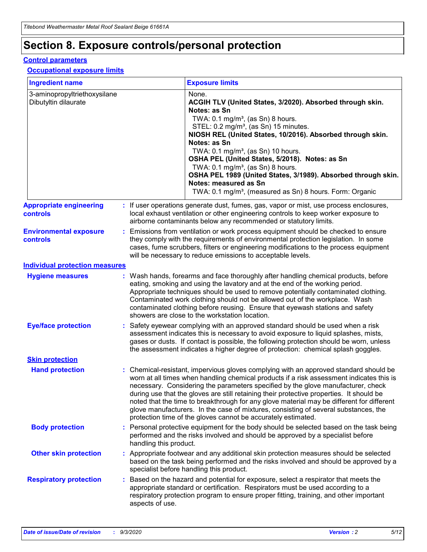# **Section 8. Exposure controls/personal protection**

#### **Control parameters**

#### **Occupational exposure limits**

| <b>Ingredient name</b>                               |    |                        | <b>Exposure limits</b>                                                                                                                                                                                                                                                                                                                                                                                                                                                                                                                                                                                                 |
|------------------------------------------------------|----|------------------------|------------------------------------------------------------------------------------------------------------------------------------------------------------------------------------------------------------------------------------------------------------------------------------------------------------------------------------------------------------------------------------------------------------------------------------------------------------------------------------------------------------------------------------------------------------------------------------------------------------------------|
| 3-aminopropyltriethoxysilane<br>Dibutyltin dilaurate |    |                        | None.<br>ACGIH TLV (United States, 3/2020). Absorbed through skin.<br>Notes: as Sn<br>TWA: $0.1 \text{ mg/m}^3$ , (as Sn) 8 hours.<br>STEL: 0.2 mg/m <sup>3</sup> , (as Sn) 15 minutes.<br>NIOSH REL (United States, 10/2016). Absorbed through skin.<br>Notes: as Sn<br>TWA: 0.1 mg/m <sup>3</sup> , (as Sn) 10 hours.<br>OSHA PEL (United States, 5/2018). Notes: as Sn<br>TWA: $0.1 \text{ mg/m}^3$ , (as Sn) 8 hours.<br>OSHA PEL 1989 (United States, 3/1989). Absorbed through skin.<br>Notes: measured as Sn<br>TWA: 0.1 mg/m <sup>3</sup> , (measured as Sn) 8 hours. Form: Organic                            |
| <b>Appropriate engineering</b><br>controls           |    |                        | : If user operations generate dust, fumes, gas, vapor or mist, use process enclosures,<br>local exhaust ventilation or other engineering controls to keep worker exposure to<br>airborne contaminants below any recommended or statutory limits.                                                                                                                                                                                                                                                                                                                                                                       |
| <b>Environmental exposure</b><br>controls            |    |                        | Emissions from ventilation or work process equipment should be checked to ensure<br>they comply with the requirements of environmental protection legislation. In some<br>cases, fume scrubbers, filters or engineering modifications to the process equipment<br>will be necessary to reduce emissions to acceptable levels.                                                                                                                                                                                                                                                                                          |
| <b>Individual protection measures</b>                |    |                        |                                                                                                                                                                                                                                                                                                                                                                                                                                                                                                                                                                                                                        |
| <b>Hygiene measures</b>                              |    |                        | : Wash hands, forearms and face thoroughly after handling chemical products, before<br>eating, smoking and using the lavatory and at the end of the working period.<br>Appropriate techniques should be used to remove potentially contaminated clothing.<br>Contaminated work clothing should not be allowed out of the workplace. Wash<br>contaminated clothing before reusing. Ensure that eyewash stations and safety<br>showers are close to the workstation location.                                                                                                                                            |
| <b>Eye/face protection</b>                           |    |                        | : Safety eyewear complying with an approved standard should be used when a risk<br>assessment indicates this is necessary to avoid exposure to liquid splashes, mists,<br>gases or dusts. If contact is possible, the following protection should be worn, unless<br>the assessment indicates a higher degree of protection: chemical splash goggles.                                                                                                                                                                                                                                                                  |
| <b>Skin protection</b>                               |    |                        |                                                                                                                                                                                                                                                                                                                                                                                                                                                                                                                                                                                                                        |
| <b>Hand protection</b>                               |    |                        | : Chemical-resistant, impervious gloves complying with an approved standard should be<br>worn at all times when handling chemical products if a risk assessment indicates this is<br>necessary. Considering the parameters specified by the glove manufacturer, check<br>during use that the gloves are still retaining their protective properties. It should be<br>noted that the time to breakthrough for any glove material may be different for different<br>glove manufacturers. In the case of mixtures, consisting of several substances, the<br>protection time of the gloves cannot be accurately estimated. |
| <b>Body protection</b>                               |    | handling this product. | Personal protective equipment for the body should be selected based on the task being<br>performed and the risks involved and should be approved by a specialist before                                                                                                                                                                                                                                                                                                                                                                                                                                                |
| <b>Other skin protection</b>                         |    |                        | : Appropriate footwear and any additional skin protection measures should be selected<br>based on the task being performed and the risks involved and should be approved by a<br>specialist before handling this product.                                                                                                                                                                                                                                                                                                                                                                                              |
| <b>Respiratory protection</b>                        | ÷. | aspects of use.        | Based on the hazard and potential for exposure, select a respirator that meets the<br>appropriate standard or certification. Respirators must be used according to a<br>respiratory protection program to ensure proper fitting, training, and other important                                                                                                                                                                                                                                                                                                                                                         |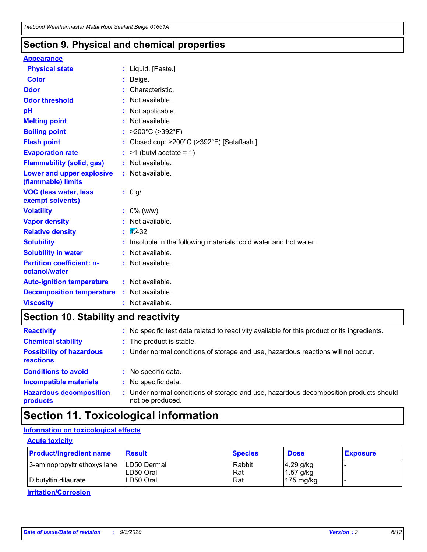### **Section 9. Physical and chemical properties**

#### **Appearance**

| <b>Physical state</b>                             | : Liquid. [Paste.]                                              |
|---------------------------------------------------|-----------------------------------------------------------------|
| <b>Color</b>                                      | Beige.                                                          |
| Odor                                              | Characteristic.                                                 |
| <b>Odor threshold</b>                             | Not available.                                                  |
| рH                                                | Not applicable.                                                 |
| <b>Melting point</b>                              | : Not available.                                                |
| <b>Boiling point</b>                              | >200°C (>392°F)                                                 |
| <b>Flash point</b>                                | Closed cup: >200°C (>392°F) [Setaflash.]                        |
| <b>Evaporation rate</b>                           | $:$ >1 (butyl acetate = 1)                                      |
| <b>Flammability (solid, gas)</b>                  | : Not available.                                                |
| Lower and upper explosive<br>(flammable) limits   | : Not available.                                                |
| <b>VOC (less water, less)</b><br>exempt solvents) | : 0 g/l                                                         |
| <b>Volatility</b>                                 | $: 0\%$ (w/w)                                                   |
| <b>Vapor density</b>                              | Not available.                                                  |
| <b>Relative density</b>                           | $\mathbf{1}$ $\mathbf{\sqrt{432}}$                              |
| <b>Solubility</b>                                 | Insoluble in the following materials: cold water and hot water. |
| <b>Solubility in water</b>                        | Not available.                                                  |
| <b>Partition coefficient: n-</b><br>octanol/water | $:$ Not available.                                              |
| <b>Auto-ignition temperature</b>                  | : Not available.                                                |
| <b>Decomposition temperature</b>                  | : Not available.                                                |
| <b>Viscosity</b>                                  | : Not available.                                                |

### **Section 10. Stability and reactivity**

| <b>Reactivity</b>                            |    | : No specific test data related to reactivity available for this product or its ingredients.            |
|----------------------------------------------|----|---------------------------------------------------------------------------------------------------------|
| <b>Chemical stability</b>                    |    | : The product is stable.                                                                                |
| <b>Possibility of hazardous</b><br>reactions |    | : Under normal conditions of storage and use, hazardous reactions will not occur.                       |
| <b>Conditions to avoid</b>                   |    | : No specific data.                                                                                     |
| <b>Incompatible materials</b>                | ٠. | No specific data.                                                                                       |
| <b>Hazardous decomposition</b><br>products   | ÷. | Under normal conditions of storage and use, hazardous decomposition products should<br>not be produced. |

### **Section 11. Toxicological information**

#### **Information on toxicological effects**

#### **Acute toxicity**

| <b>Product/ingredient name</b> | <b>Result</b>           | <b>Species</b> | <b>Dose</b>                | <b>Exposure</b> |
|--------------------------------|-------------------------|----------------|----------------------------|-----------------|
| 3-aminopropyltriethoxysilane   | <b>ILD50 Dermal</b>     | Rabbit         | 4.29 g/kg                  |                 |
| Dibutyltin dilaurate           | ILD50 Oral<br>LD50 Oral | Rat<br>Rat     | $1.57$ g/kg<br>175 $mg/kg$ |                 |
|                                |                         |                |                            |                 |

**Irritation/Corrosion**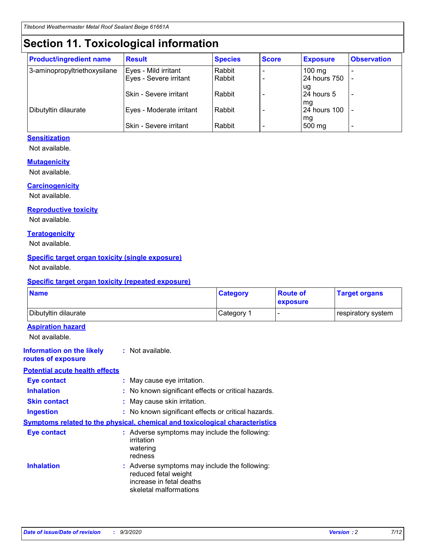# **Section 11. Toxicological information**

| <b>Product/ingredient name</b> | <b>Result</b>                 | <b>Species</b> | <b>Score</b> | <b>Exposure</b>    | <b>Observation</b>       |
|--------------------------------|-------------------------------|----------------|--------------|--------------------|--------------------------|
| 3-aminopropyltriethoxysilane   | Eyes - Mild irritant          | Rabbit         |              | $100 \text{ mg}$   |                          |
|                                | Eyes - Severe irritant        | Rabbit         |              | 24 hours 750       |                          |
|                                |                               |                |              | ug                 |                          |
|                                | <b>Skin - Severe irritant</b> | Rabbit         |              | 24 hours 5         | $\overline{\phantom{0}}$ |
| Dibutyltin dilaurate           | Eyes - Moderate irritant      | Rabbit         |              | mg<br>24 hours 100 |                          |
|                                |                               |                |              | mg                 |                          |
|                                | Skin - Severe irritant        | Rabbit         |              | 500 mg             | -                        |

#### **Sensitization**

Not available.

#### **Mutagenicity**

Not available.

#### **Carcinogenicity**

Not available.

#### **Reproductive toxicity**

Not available.

#### **Teratogenicity**

Not available.

#### **Specific target organ toxicity (single exposure)**

Not available.

#### **Specific target organ toxicity (repeated exposure)**

| <b>Name</b>                                                                         |                                                                            | <b>Category</b>                                     | <b>Route of</b><br>exposure | <b>Target organs</b> |  |  |
|-------------------------------------------------------------------------------------|----------------------------------------------------------------------------|-----------------------------------------------------|-----------------------------|----------------------|--|--|
| Dibutyltin dilaurate                                                                |                                                                            | Category 1                                          | -                           | respiratory system   |  |  |
| <b>Aspiration hazard</b><br>Not available.                                          |                                                                            |                                                     |                             |                      |  |  |
| <b>Information on the likely</b><br>routes of exposure                              | : Not available.                                                           |                                                     |                             |                      |  |  |
| <b>Potential acute health effects</b>                                               |                                                                            |                                                     |                             |                      |  |  |
| <b>Eye contact</b>                                                                  | : May cause eye irritation.                                                |                                                     |                             |                      |  |  |
| <b>Inhalation</b>                                                                   |                                                                            | : No known significant effects or critical hazards. |                             |                      |  |  |
| <b>Skin contact</b>                                                                 |                                                                            | : May cause skin irritation.                        |                             |                      |  |  |
| <b>Ingestion</b>                                                                    |                                                                            | : No known significant effects or critical hazards. |                             |                      |  |  |
| <b>Symptoms related to the physical, chemical and toxicological characteristics</b> |                                                                            |                                                     |                             |                      |  |  |
| <b>Eye contact</b>                                                                  | irritation<br>watering<br>redness                                          | : Adverse symptoms may include the following:       |                             |                      |  |  |
| <b>Inhalation</b>                                                                   | reduced fetal weight<br>increase in fetal deaths<br>skeletal malformations | : Adverse symptoms may include the following:       |                             |                      |  |  |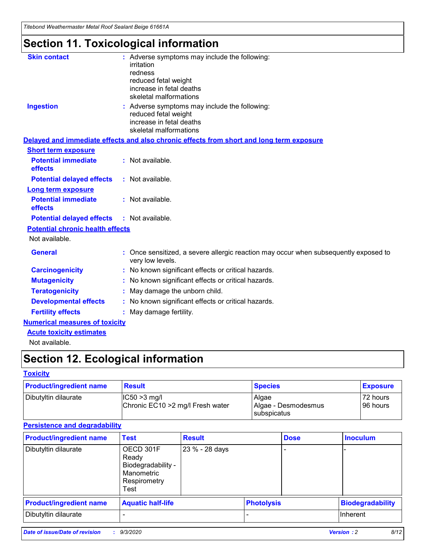*Titebond Weathermaster Metal Roof Sealant Beige 61661A*

# **Section 11. Toxicological information**

| <b>Skin contact</b>                     | : Adverse symptoms may include the following:<br>irritation<br>redness<br>reduced fetal weight<br>increase in fetal deaths<br>skeletal malformations |
|-----------------------------------------|------------------------------------------------------------------------------------------------------------------------------------------------------|
| <b>Ingestion</b>                        | : Adverse symptoms may include the following:<br>reduced fetal weight<br>increase in fetal deaths<br>skeletal malformations                          |
|                                         | Delayed and immediate effects and also chronic effects from short and long term exposure                                                             |
| <b>Short term exposure</b>              |                                                                                                                                                      |
| <b>Potential immediate</b><br>effects   | : Not available.                                                                                                                                     |
| <b>Potential delayed effects</b>        | : Not available.                                                                                                                                     |
| <b>Long term exposure</b>               |                                                                                                                                                      |
| <b>Potential immediate</b><br>effects   | : Not available.                                                                                                                                     |
| <b>Potential delayed effects</b>        | : Not available.                                                                                                                                     |
| <b>Potential chronic health effects</b> |                                                                                                                                                      |
| Not available.                          |                                                                                                                                                      |
| <b>General</b>                          | : Once sensitized, a severe allergic reaction may occur when subsequently exposed to<br>very low levels.                                             |
| <b>Carcinogenicity</b>                  | : No known significant effects or critical hazards.                                                                                                  |
| <b>Mutagenicity</b>                     | No known significant effects or critical hazards.                                                                                                    |
| <b>Teratogenicity</b>                   | May damage the unborn child.                                                                                                                         |
| <b>Developmental effects</b>            | : No known significant effects or critical hazards.                                                                                                  |
| <b>Fertility effects</b>                | May damage fertility.                                                                                                                                |
| <b>Numerical measures of toxicity</b>   |                                                                                                                                                      |
| <b>Acute toxicity estimates</b>         |                                                                                                                                                      |
| Not available.                          |                                                                                                                                                      |

# **Section 12. Ecological information**

#### **Toxicity**

| <b>Product/ingredient name</b> | <b>Result</b>                                       | <b>Species</b>               | <b>Exposure</b>       |
|--------------------------------|-----------------------------------------------------|------------------------------|-----------------------|
| Dibutyltin dilaurate           | $ IC50>3$ mg/l<br>Chronic EC10 > 2 mg/l Fresh water | Algae<br>Algae - Desmodesmus | 72 hours<br>196 hours |
|                                |                                                     | subspicatus                  |                       |

#### **Persistence and degradability**

| <b>Product/ingredient name</b> | <b>Test</b>                                                                    | <b>Result</b>  |                   | <b>Dose</b> | <b>Inoculum</b>         |
|--------------------------------|--------------------------------------------------------------------------------|----------------|-------------------|-------------|-------------------------|
| Dibutyltin dilaurate           | OECD 301F<br>Ready<br>Biodegradability -<br>Manometric<br>Respirometry<br>Test | 23 % - 28 days |                   |             |                         |
| <b>Product/ingredient name</b> | <b>Aquatic half-life</b>                                                       |                | <b>Photolysis</b> |             | <b>Biodegradability</b> |
| Dibutyltin dilaurate           |                                                                                |                |                   |             | <b>Inherent</b>         |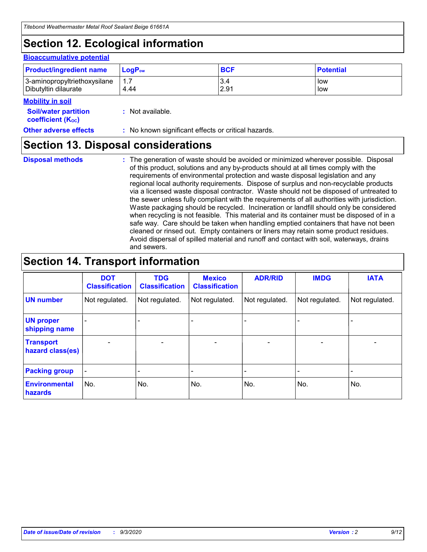# **Section 12. Ecological information**

#### **Bioaccumulative potential**

| <b>Product/ingredient name</b> | $\mathsf{LogP}_\mathsf{ow}$ | <b>BCF</b> | <b>Potential</b> |
|--------------------------------|-----------------------------|------------|------------------|
| 3-aminopropyltriethoxysilane   | $1.\overline{7}$            | 3.4        | low              |
| Dibutyltin dilaurate           | 4.44                        | 2.91       | low              |

#### **Mobility in soil**

| <b>Soil/water partition</b> | : Not available. |
|-----------------------------|------------------|
| <b>coefficient (Koc)</b>    |                  |

#### **Other adverse effects** : No known significant effects or critical hazards.

### **Section 13. Disposal considerations**

**Disposal methods :**

The generation of waste should be avoided or minimized wherever possible. Disposal of this product, solutions and any by-products should at all times comply with the requirements of environmental protection and waste disposal legislation and any regional local authority requirements. Dispose of surplus and non-recyclable products via a licensed waste disposal contractor. Waste should not be disposed of untreated to the sewer unless fully compliant with the requirements of all authorities with jurisdiction. Waste packaging should be recycled. Incineration or landfill should only be considered when recycling is not feasible. This material and its container must be disposed of in a safe way. Care should be taken when handling emptied containers that have not been cleaned or rinsed out. Empty containers or liners may retain some product residues. Avoid dispersal of spilled material and runoff and contact with soil, waterways, drains and sewers.

### **Section 14. Transport information**

|                                      | <b>DOT</b><br><b>Classification</b> | <b>TDG</b><br><b>Classification</b> | <b>Mexico</b><br><b>Classification</b> | <b>ADR/RID</b>           | <b>IMDG</b>              | <b>IATA</b>    |
|--------------------------------------|-------------------------------------|-------------------------------------|----------------------------------------|--------------------------|--------------------------|----------------|
| <b>UN number</b>                     | Not regulated.                      | Not regulated.                      | Not regulated.                         | Not regulated.           | Not regulated.           | Not regulated. |
| <b>UN proper</b><br>shipping name    |                                     |                                     |                                        |                          |                          |                |
| <b>Transport</b><br>hazard class(es) |                                     | $\overline{\phantom{0}}$            | $\qquad \qquad \blacksquare$           | $\overline{\phantom{0}}$ | $\overline{\phantom{0}}$ |                |
| <b>Packing group</b>                 |                                     |                                     |                                        |                          |                          |                |
| <b>Environmental</b><br>hazards      | No.                                 | No.                                 | No.                                    | No.                      | No.                      | No.            |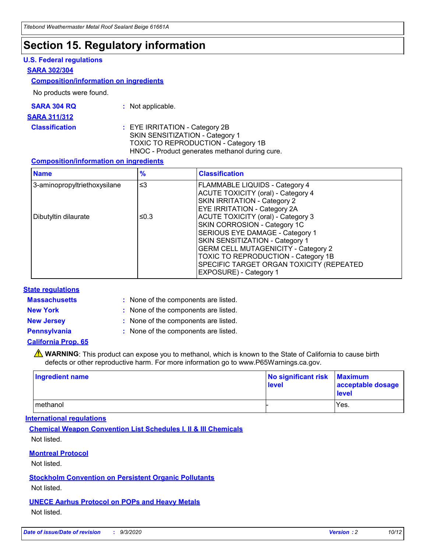### **Section 15. Regulatory information**

#### **U.S. Federal regulations**

#### **SARA 302/304**

#### **Composition/information on ingredients**

No products were found.

| SARA 304 RQ | Not applicable. |
|-------------|-----------------|
|             |                 |

#### **SARA 311/312**

**Classification :** EYE IRRITATION - Category 2B SKIN SENSITIZATION - Category 1 TOXIC TO REPRODUCTION - Category 1B HNOC - Product generates methanol during cure.

#### **Composition/information on ingredients**

| <b>Name</b>                  | $\frac{9}{6}$ | <b>Classification</b>                                                                                                                                                                                                                                                                                      |
|------------------------------|---------------|------------------------------------------------------------------------------------------------------------------------------------------------------------------------------------------------------------------------------------------------------------------------------------------------------------|
| 3-aminopropyltriethoxysilane | $\leq$ 3      | <b>FLAMMABLE LIQUIDS - Category 4</b><br><b>ACUTE TOXICITY (oral) - Category 4</b><br><b>SKIN IRRITATION - Category 2</b><br>EYE IRRITATION - Category 2A                                                                                                                                                  |
| Dibutyltin dilaurate         | ≤0.3          | <b>ACUTE TOXICITY (oral) - Category 3</b><br>SKIN CORROSION - Category 1C<br>SERIOUS EYE DAMAGE - Category 1<br>SKIN SENSITIZATION - Category 1<br><b>GERM CELL MUTAGENICITY - Category 2</b><br>TOXIC TO REPRODUCTION - Category 1B<br>SPECIFIC TARGET ORGAN TOXICITY (REPEATED<br>EXPOSURE) - Category 1 |

#### **State regulations**

**Massachusetts :**

: None of the components are listed.

**New York :** None of the components are listed. **New Jersey :** None of the components are listed.

**Pennsylvania :** None of the components are listed.

#### **California Prop. 65**

WARNING: This product can expose you to methanol, which is known to the State of California to cause birth defects or other reproductive harm. For more information go to www.P65Warnings.ca.gov.

| Ingredient name | No significant risk<br>level | <b>Maximum</b><br>acceptable dosage<br><b>level</b> |
|-----------------|------------------------------|-----------------------------------------------------|
| methanol        |                              | Yes.                                                |

#### **International regulations**

**Chemical Weapon Convention List Schedules I, II & III Chemicals** Not listed.

#### **Montreal Protocol**

Not listed.

**Stockholm Convention on Persistent Organic Pollutants**

Not listed.

**UNECE Aarhus Protocol on POPs and Heavy Metals** Not listed.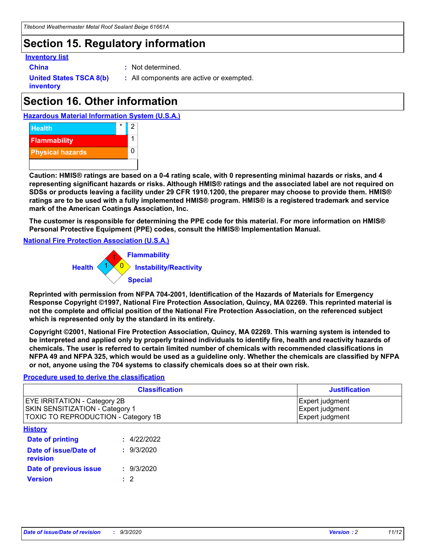# **Section 15. Regulatory information**

#### **Inventory list**

- 
- **China :** Not determined.

**United States TSCA 8(b) inventory**

**:** All components are active or exempted.

# **Section 16. Other information**

**Hazardous Material Information System (U.S.A.)**



**Caution: HMIS® ratings are based on a 0-4 rating scale, with 0 representing minimal hazards or risks, and 4 representing significant hazards or risks. Although HMIS® ratings and the associated label are not required on SDSs or products leaving a facility under 29 CFR 1910.1200, the preparer may choose to provide them. HMIS® ratings are to be used with a fully implemented HMIS® program. HMIS® is a registered trademark and service mark of the American Coatings Association, Inc.**

**The customer is responsible for determining the PPE code for this material. For more information on HMIS® Personal Protective Equipment (PPE) codes, consult the HMIS® Implementation Manual.**

**National Fire Protection Association (U.S.A.)**



**Reprinted with permission from NFPA 704-2001, Identification of the Hazards of Materials for Emergency Response Copyright ©1997, National Fire Protection Association, Quincy, MA 02269. This reprinted material is not the complete and official position of the National Fire Protection Association, on the referenced subject which is represented only by the standard in its entirety.**

**Copyright ©2001, National Fire Protection Association, Quincy, MA 02269. This warning system is intended to be interpreted and applied only by properly trained individuals to identify fire, health and reactivity hazards of chemicals. The user is referred to certain limited number of chemicals with recommended classifications in NFPA 49 and NFPA 325, which would be used as a guideline only. Whether the chemicals are classified by NFPA or not, anyone using the 704 systems to classify chemicals does so at their own risk.**

#### **Procedure used to derive the classification**

| <b>Classification</b>                                                                                                | <b>Justification</b>                                  |
|----------------------------------------------------------------------------------------------------------------------|-------------------------------------------------------|
| <b>EYE IRRITATION - Category 2B</b><br><b>SKIN SENSITIZATION - Category 1</b><br>TOXIC TO REPRODUCTION - Category 1B | Expert judgment<br>Expert judgment<br>Expert judgment |
| <b>History</b>                                                                                                       |                                                       |

| .                                 |             |
|-----------------------------------|-------------|
| <b>Date of printing</b>           | : 4/22/2022 |
| Date of issue/Date of<br>revision | : 9/3/2020  |
| Date of previous issue            | : 9/3/2020  |
| <b>Version</b>                    | $\cdot$ 2   |
|                                   |             |